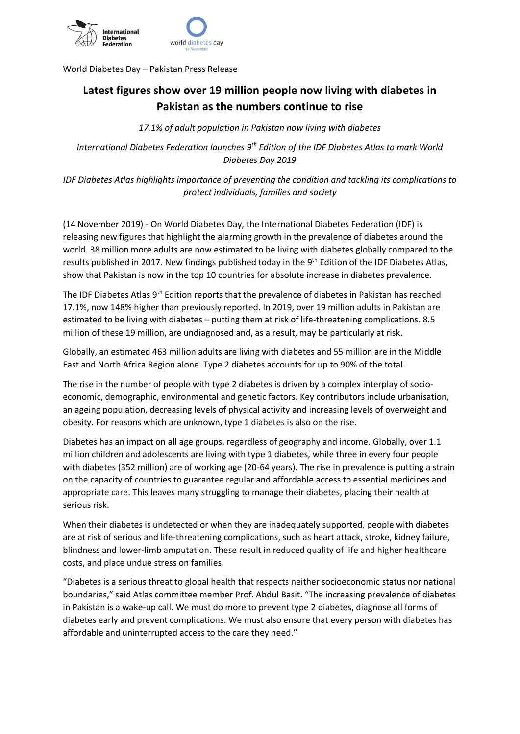

World Diabetes Day – Pakistan Press Release

## **Latest figures show over 19 million people now living with diabetes in Pakistan as the numbers continue to rise**

*17.1% of adult population in Pakistan now living with diabetes*

*International Diabetes Federation launches 9th Edition of the IDF Diabetes Atlas to mark World Diabetes Day 2019*

*IDF Diabetes Atlas highlights importance of preventing the condition and tackling its complications to protect individuals, families and society*

(14 November 2019) - On World Diabetes Day, the International Diabetes Federation (IDF) is releasing new figures that highlight the alarming growth in the prevalence of diabetes around the world. 38 million more adults are now estimated to be living with diabetes globally compared to the results published in 2017. New findings published today in the 9<sup>th</sup> Edition of the IDF Diabetes Atlas, show that Pakistan is now in the top 10 countries for absolute increase in diabetes prevalence.

The IDF Diabetes Atlas 9<sup>th</sup> Edition reports that the prevalence of diabetes in Pakistan has reached 17.1%, now 148% higher than previously reported. In 2019, over 19 million adults in Pakistan are estimated to be living with diabetes – putting them at risk of life-threatening complications. 8.5 million of these 19 million, are undiagnosed and, as a result, may be particularly at risk.

Globally, an estimated 463 million adults are living with diabetes and 55 million are in the Middle East and North Africa Region alone. Type 2 diabetes accounts for up to 90% of the total.

The rise in the number of people with type 2 diabetes is driven by a complex interplay of socioeconomic, demographic, environmental and genetic factors. Key contributors include urbanisation, an ageing population, decreasing levels of physical activity and increasing levels of overweight and obesity. For reasons which are unknown, type 1 diabetes is also on the rise.

Diabetes has an impact on all age groups, regardless of geography and income. Globally, over 1.1 million children and adolescents are living with type 1 diabetes, while three in every four people with diabetes (352 million) are of working age (20-64 years). The rise in prevalence is putting a strain on the capacity of countries to guarantee regular and affordable access to essential medicines and appropriate care. This leaves many struggling to manage their diabetes, placing their health at serious risk.

When their diabetes is undetected or when they are inadequately supported, people with diabetes are at risk of serious and life-threatening complications, such as heart attack, stroke, kidney failure, blindness and lower-limb amputation. These result in reduced quality of life and higher healthcare costs, and place undue stress on families.

"Diabetes is a serious threat to global health that respects neither socioeconomic status nor national boundaries," said Atlas committee member Prof. Abdul Basit. "The increasing prevalence of diabetes in Pakistan is a wake-up call. We must do more to prevent type 2 diabetes, diagnose all forms of diabetes early and prevent complications. We must also ensure that every person with diabetes has affordable and uninterrupted access to the care they need."